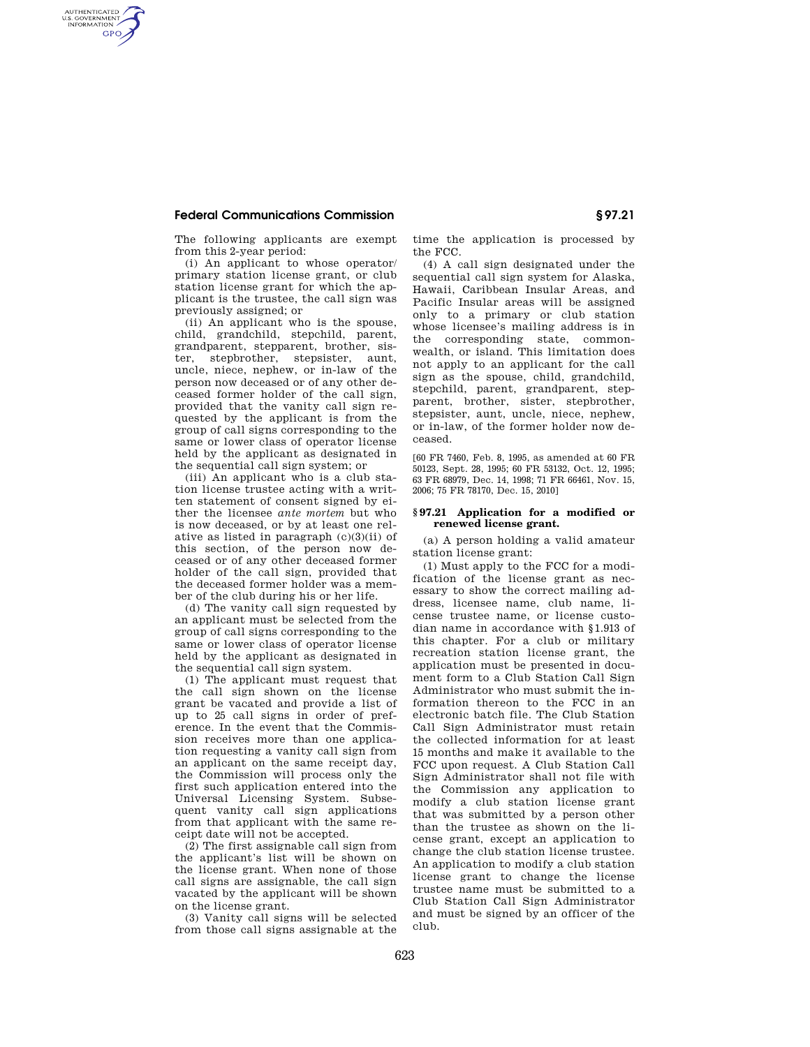# **Federal Communications Commission § 97.21**

AUTHENTICATED<br>U.S. GOVERNMENT<br>INFORMATION **GPO** 

> The following applicants are exempt from this 2-year period:

> (i) An applicant to whose operator/ primary station license grant, or club station license grant for which the applicant is the trustee, the call sign was previously assigned; or

> (ii) An applicant who is the spouse, child, grandchild, stepchild, parent, grandparent, stepparent, brother, sister, stepbrother, stepsister, aunt, uncle, niece, nephew, or in-law of the person now deceased or of any other deceased former holder of the call sign, provided that the vanity call sign requested by the applicant is from the group of call signs corresponding to the same or lower class of operator license held by the applicant as designated in the sequential call sign system; or

> (iii) An applicant who is a club station license trustee acting with a written statement of consent signed by either the licensee *ante mortem* but who is now deceased, or by at least one relative as listed in paragraph (c)(3)(ii) of this section, of the person now deceased or of any other deceased former holder of the call sign, provided that the deceased former holder was a member of the club during his or her life.

> (d) The vanity call sign requested by an applicant must be selected from the group of call signs corresponding to the same or lower class of operator license held by the applicant as designated in the sequential call sign system.

> (1) The applicant must request that the call sign shown on the license grant be vacated and provide a list of up to 25 call signs in order of preference. In the event that the Commission receives more than one application requesting a vanity call sign from an applicant on the same receipt day, the Commission will process only the first such application entered into the Universal Licensing System. Subsequent vanity call sign applications from that applicant with the same receipt date will not be accepted.

> (2) The first assignable call sign from the applicant's list will be shown on the license grant. When none of those call signs are assignable, the call sign vacated by the applicant will be shown on the license grant.

(3) Vanity call signs will be selected from those call signs assignable at the time the application is processed by the FCC.

(4) A call sign designated under the sequential call sign system for Alaska, Hawaii, Caribbean Insular Areas, and Pacific Insular areas will be assigned only to a primary or club station whose licensee's mailing address is in the corresponding state, commonwealth, or island. This limitation does not apply to an applicant for the call sign as the spouse, child, grandchild, stepchild, parent, grandparent, stepparent, brother, sister, stepbrother, stepsister, aunt, uncle, niece, nephew, or in-law, of the former holder now deceased.

[60 FR 7460, Feb. 8, 1995, as amended at 60 FR 50123, Sept. 28, 1995; 60 FR 53132, Oct. 12, 1995; 63 FR 68979, Dec. 14, 1998; 71 FR 66461, Nov. 15, 2006; 75 FR 78170, Dec. 15, 2010]

#### **§ 97.21 Application for a modified or renewed license grant.**

(a) A person holding a valid amateur station license grant:

(1) Must apply to the FCC for a modification of the license grant as necessary to show the correct mailing address, licensee name, club name, license trustee name, or license custodian name in accordance with §1.913 of this chapter. For a club or military recreation station license grant, the application must be presented in document form to a Club Station Call Sign Administrator who must submit the information thereon to the FCC in an electronic batch file. The Club Station Call Sign Administrator must retain the collected information for at least 15 months and make it available to the FCC upon request. A Club Station Call Sign Administrator shall not file with the Commission any application to modify a club station license grant that was submitted by a person other than the trustee as shown on the license grant, except an application to change the club station license trustee. An application to modify a club station license grant to change the license trustee name must be submitted to a Club Station Call Sign Administrator and must be signed by an officer of the club.